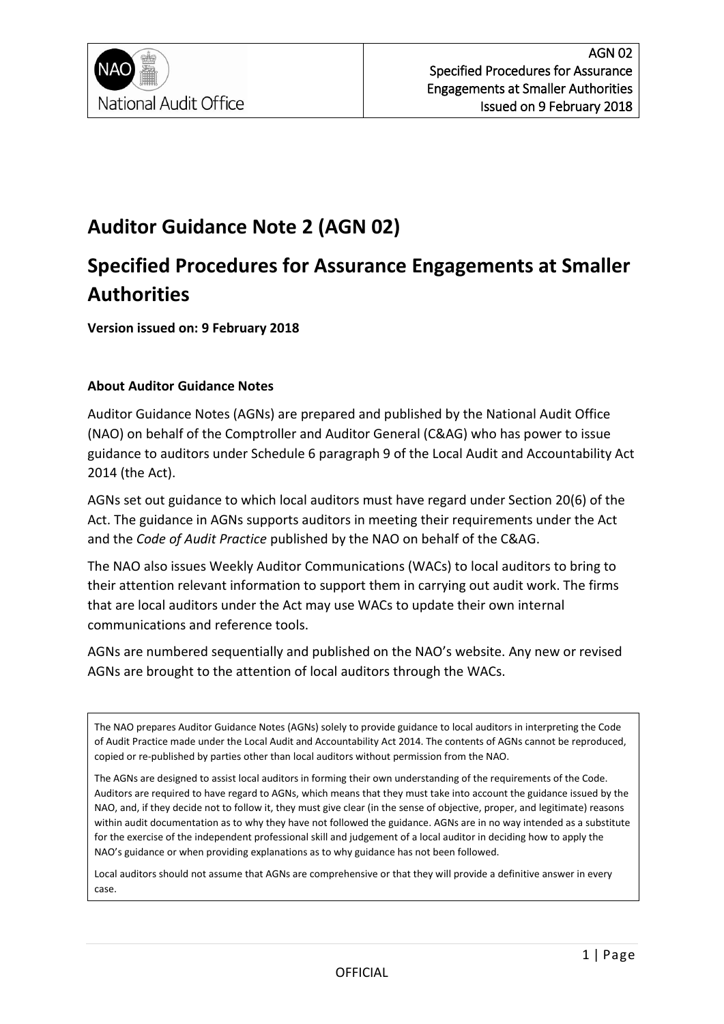

# **Auditor Guidance Note 2 (AGN 02)**

# **Specified Procedures for Assurance Engagements at Smaller Authorities**

**Version issued on: 9 February 2018**

#### **About Auditor Guidance Notes**

Auditor Guidance Notes (AGNs) are prepared and published by the National Audit Office (NAO) on behalf of the Comptroller and Auditor General (C&AG) who has power to issue guidance to auditors under Schedule 6 paragraph 9 of the Local Audit and Accountability Act 2014 (the Act).

AGNs set out guidance to which local auditors must have regard under Section 20(6) of the Act. The guidance in AGNs supports auditors in meeting their requirements under the Act and the *Code of Audit Practice* published by the NAO on behalf of the C&AG.

The NAO also issues Weekly Auditor Communications (WACs) to local auditors to bring to their attention relevant information to support them in carrying out audit work. The firms that are local auditors under the Act may use WACs to update their own internal communications and reference tools.

AGNs are numbered sequentially and published on the NAO's website. Any new or revised AGNs are brought to the attention of local auditors through the WACs.

The NAO prepares Auditor Guidance Notes (AGNs) solely to provide guidance to local auditors in interpreting the Code of Audit Practice made under the Local Audit and Accountability Act 2014. The contents of AGNs cannot be reproduced, copied or re-published by parties other than local auditors without permission from the NAO.

The AGNs are designed to assist local auditors in forming their own understanding of the requirements of the Code. Auditors are required to have regard to AGNs, which means that they must take into account the guidance issued by the NAO, and, if they decide not to follow it, they must give clear (in the sense of objective, proper, and legitimate) reasons within audit documentation as to why they have not followed the guidance. AGNs are in no way intended as a substitute for the exercise of the independent professional skill and judgement of a local auditor in deciding how to apply the NAO's guidance or when providing explanations as to why guidance has not been followed.

Local auditors should not assume that AGNs are comprehensive or that they will provide a definitive answer in every case.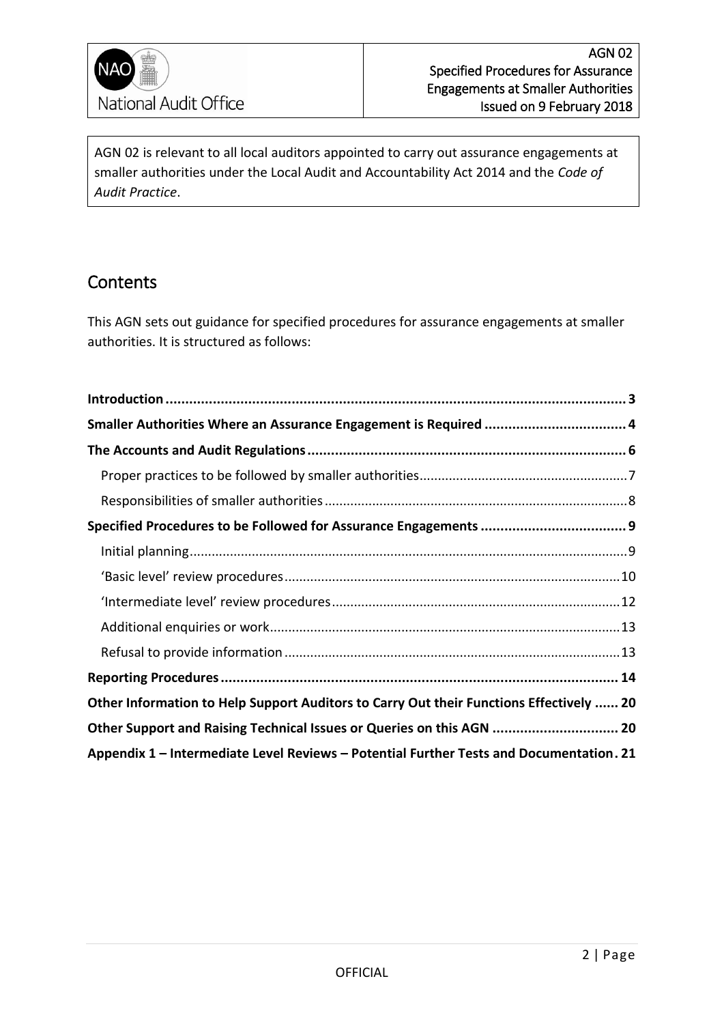

AGN 02 is relevant to all local auditors appointed to carry out assurance engagements at smaller authorities under the Local Audit and Accountability Act 2014 and the *Code of Audit Practice*.

## **Contents**

This AGN sets out guidance for specified procedures for assurance engagements at smaller authorities. It is structured as follows:

| Smaller Authorities Where an Assurance Engagement is Required  4                        |  |
|-----------------------------------------------------------------------------------------|--|
|                                                                                         |  |
|                                                                                         |  |
|                                                                                         |  |
|                                                                                         |  |
|                                                                                         |  |
|                                                                                         |  |
|                                                                                         |  |
|                                                                                         |  |
|                                                                                         |  |
|                                                                                         |  |
| Other Information to Help Support Auditors to Carry Out their Functions Effectively  20 |  |
| Other Support and Raising Technical Issues or Queries on this AGN  20                   |  |
| Appendix 1 - Intermediate Level Reviews - Potential Further Tests and Documentation. 21 |  |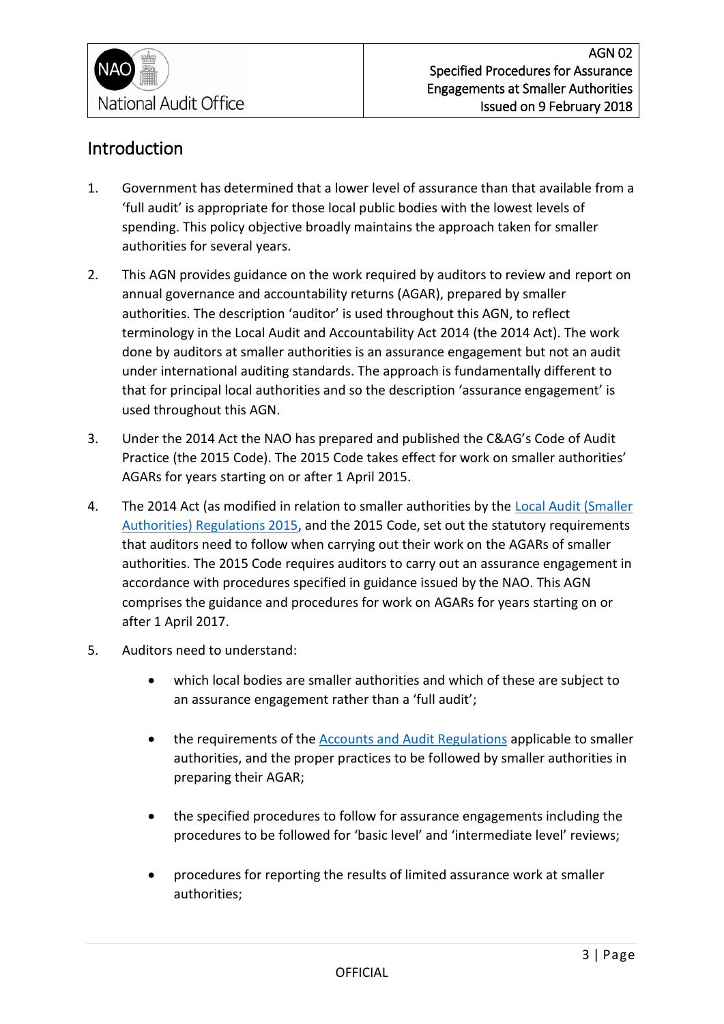

## <span id="page-2-0"></span>Introduction

- 1. Government has determined that a lower level of assurance than that available from a 'full audit' is appropriate for those local public bodies with the lowest levels of spending. This policy objective broadly maintains the approach taken for smaller authorities for several years.
- 2. This AGN provides guidance on the work required by auditors to review and report on annual governance and accountability returns (AGAR), prepared by smaller authorities. The description 'auditor' is used throughout this AGN, to reflect terminology in the Local Audit and Accountability Act 2014 (the 2014 Act). The work done by auditors at smaller authorities is an assurance engagement but not an audit under international auditing standards. The approach is fundamentally different to that for principal local authorities and so the description 'assurance engagement' is used throughout this AGN.
- 3. Under the 2014 Act the NAO has prepared and published the C&AG's Code of Audit Practice (the 2015 Code). The 2015 Code takes effect for work on smaller authorities' AGARs for years starting on or after 1 April 2015.
- 4. The 2014 Act (as modified in relation to smaller authorities by the Local Audit (Smaller [Authorities\) Regulations 2015,](https://www.legislation.gov.uk/ukdsi/2015/9780111126103/pdfs/ukdsi_9780111126103_en.pdf) and the 2015 Code, set out the statutory requirements that auditors need to follow when carrying out their work on the AGARs of smaller authorities. The 2015 Code requires auditors to carry out an assurance engagement in accordance with procedures specified in guidance issued by the NAO. This AGN comprises the guidance and procedures for work on AGARs for years starting on or after 1 April 2017.
- 5. Auditors need to understand:
	- which local bodies are smaller authorities and which of these are subject to an assurance engagement rather than a 'full audit';
	- the requirements of the [Accounts and Audit Regulations](http://www.legislation.gov.uk/uksi/2015/234/pdfs/uksi_20150234_en.pdf) applicable to smaller authorities, and the proper practices to be followed by smaller authorities in preparing their AGAR;
	- the specified procedures to follow for assurance engagements including the procedures to be followed for 'basic level' and 'intermediate level' reviews;
	- procedures for reporting the results of limited assurance work at smaller authorities;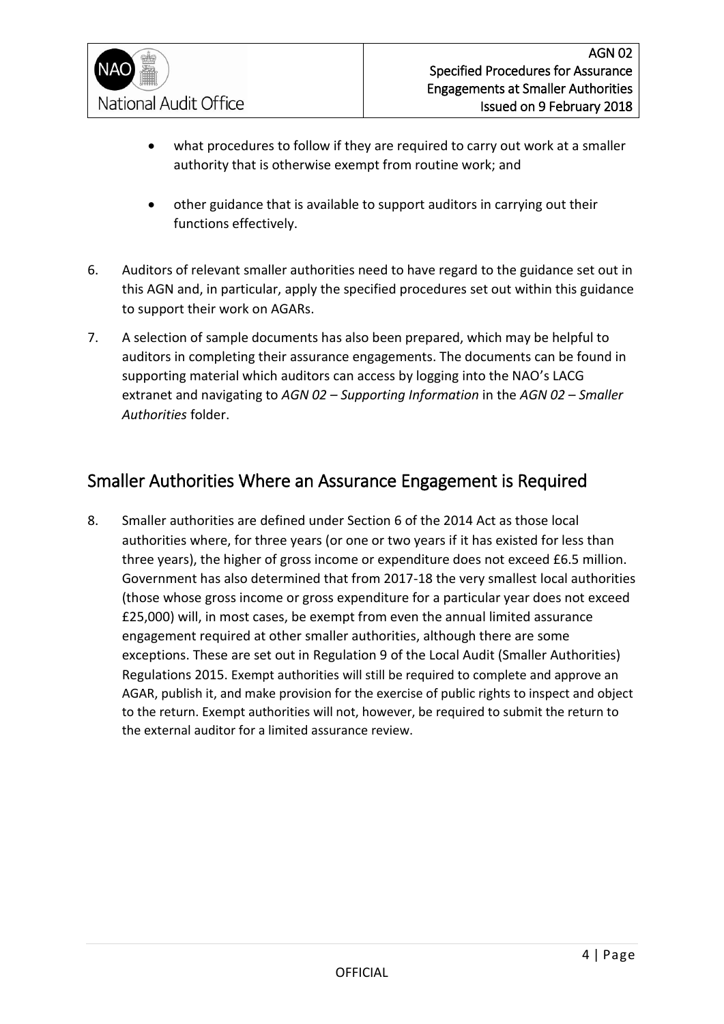

- what procedures to follow if they are required to carry out work at a smaller authority that is otherwise exempt from routine work; and
- other guidance that is available to support auditors in carrying out their functions effectively.
- 6. Auditors of relevant smaller authorities need to have regard to the guidance set out in this AGN and, in particular, apply the specified procedures set out within this guidance to support their work on AGARs.
- 7. A selection of sample documents has also been prepared, which may be helpful to auditors in completing their assurance engagements. The documents can be found in supporting material which auditors can access by logging into the NAO's LACG extranet and navigating to *AGN 02 – Supporting Information* in the *AGN 02 – Smaller Authorities* folder.

## <span id="page-3-0"></span>Smaller Authorities Where an Assurance Engagement is Required

8. Smaller authorities are defined under Section 6 of the 2014 Act as those local authorities where, for three years (or one or two years if it has existed for less than three years), the higher of gross income or expenditure does not exceed £6.5 million. Government has also determined that from 2017-18 the very smallest local authorities (those whose gross income or gross expenditure for a particular year does not exceed £25,000) will, in most cases, be exempt from even the annual limited assurance engagement required at other smaller authorities, although there are some exceptions. These are set out in Regulation 9 of the Local Audit (Smaller Authorities) Regulations 2015. Exempt authorities will still be required to complete and approve an AGAR, publish it, and make provision for the exercise of public rights to inspect and object to the return. Exempt authorities will not, however, be required to submit the return to the external auditor for a limited assurance review.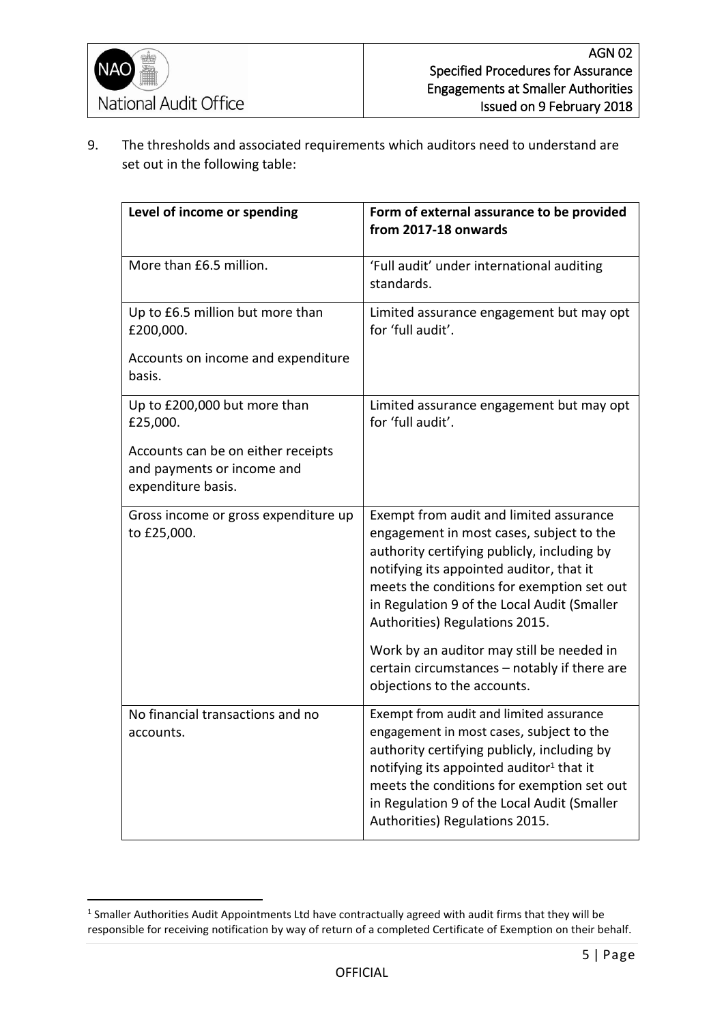-

9. The thresholds and associated requirements which auditors need to understand are set out in the following table:

| Level of income or spending                                                            | Form of external assurance to be provided<br>from 2017-18 onwards                                                                                                                                                                                                                                                         |
|----------------------------------------------------------------------------------------|---------------------------------------------------------------------------------------------------------------------------------------------------------------------------------------------------------------------------------------------------------------------------------------------------------------------------|
| More than £6.5 million.                                                                | 'Full audit' under international auditing<br>standards.                                                                                                                                                                                                                                                                   |
| Up to £6.5 million but more than<br>£200,000.                                          | Limited assurance engagement but may opt<br>for 'full audit'.                                                                                                                                                                                                                                                             |
| Accounts on income and expenditure<br>basis.                                           |                                                                                                                                                                                                                                                                                                                           |
| Up to £200,000 but more than<br>£25,000.                                               | Limited assurance engagement but may opt<br>for 'full audit'.                                                                                                                                                                                                                                                             |
| Accounts can be on either receipts<br>and payments or income and<br>expenditure basis. |                                                                                                                                                                                                                                                                                                                           |
| Gross income or gross expenditure up<br>to £25,000.                                    | Exempt from audit and limited assurance<br>engagement in most cases, subject to the<br>authority certifying publicly, including by<br>notifying its appointed auditor, that it<br>meets the conditions for exemption set out<br>in Regulation 9 of the Local Audit (Smaller<br>Authorities) Regulations 2015.             |
|                                                                                        | Work by an auditor may still be needed in<br>certain circumstances - notably if there are<br>objections to the accounts.                                                                                                                                                                                                  |
| No financial transactions and no<br>accounts.                                          | Exempt from audit and limited assurance<br>engagement in most cases, subject to the<br>authority certifying publicly, including by<br>notifying its appointed auditor <sup>1</sup> that it<br>meets the conditions for exemption set out<br>in Regulation 9 of the Local Audit (Smaller<br>Authorities) Regulations 2015. |

<sup>&</sup>lt;sup>1</sup> Smaller Authorities Audit Appointments Ltd have contractually agreed with audit firms that they will be responsible for receiving notification by way of return of a completed Certificate of Exemption on their behalf.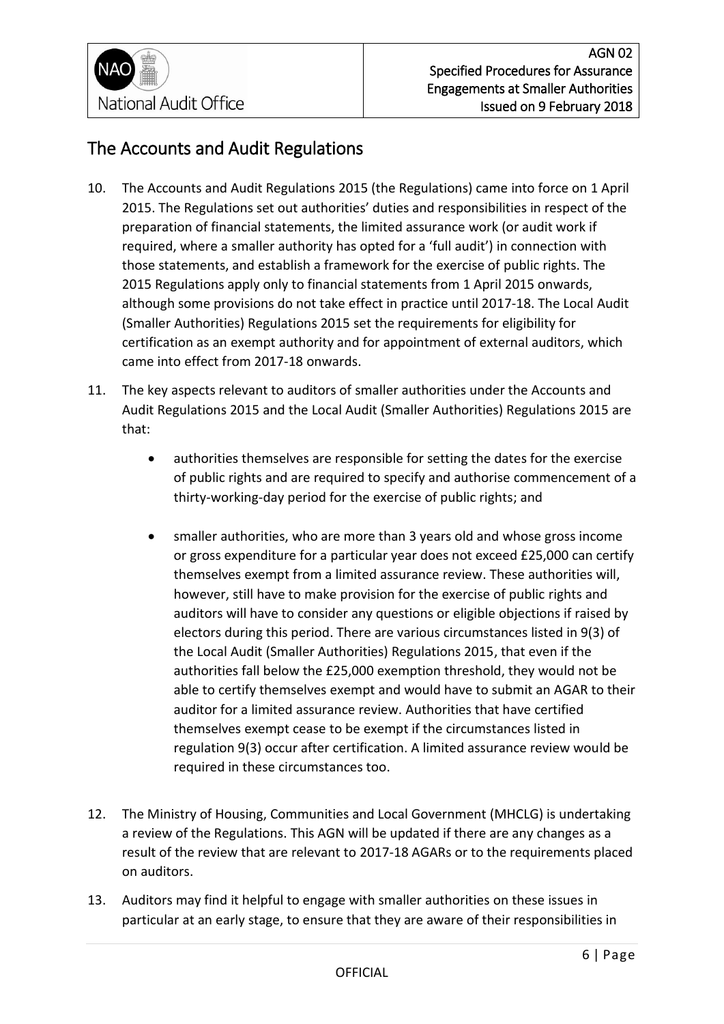

## <span id="page-5-0"></span>The Accounts and Audit Regulations

- 10. The Accounts and Audit Regulations 2015 (the Regulations) came into force on 1 April 2015. The Regulations set out authorities' duties and responsibilities in respect of the preparation of financial statements, the limited assurance work (or audit work if required, where a smaller authority has opted for a 'full audit') in connection with those statements, and establish a framework for the exercise of public rights. The 2015 Regulations apply only to financial statements from 1 April 2015 onwards, although some provisions do not take effect in practice until 2017-18. The Local Audit (Smaller Authorities) Regulations 2015 set the requirements for eligibility for certification as an exempt authority and for appointment of external auditors, which came into effect from 2017-18 onwards.
- 11. The key aspects relevant to auditors of smaller authorities under the Accounts and Audit Regulations 2015 and the Local Audit (Smaller Authorities) Regulations 2015 are that:
	- authorities themselves are responsible for setting the dates for the exercise of public rights and are required to specify and authorise commencement of a thirty-working-day period for the exercise of public rights; and
	- smaller authorities, who are more than 3 years old and whose gross income or gross expenditure for a particular year does not exceed £25,000 can certify themselves exempt from a limited assurance review. These authorities will, however, still have to make provision for the exercise of public rights and auditors will have to consider any questions or eligible objections if raised by electors during this period. There are various circumstances listed in 9(3) of the Local Audit (Smaller Authorities) Regulations 2015, that even if the authorities fall below the £25,000 exemption threshold, they would not be able to certify themselves exempt and would have to submit an AGAR to their auditor for a limited assurance review. Authorities that have certified themselves exempt cease to be exempt if the circumstances listed in regulation 9(3) occur after certification. A limited assurance review would be required in these circumstances too.
- 12. The Ministry of Housing, Communities and Local Government (MHCLG) is undertaking a review of the Regulations. This AGN will be updated if there are any changes as a result of the review that are relevant to 2017-18 AGARs or to the requirements placed on auditors.
- 13. Auditors may find it helpful to engage with smaller authorities on these issues in particular at an early stage, to ensure that they are aware of their responsibilities in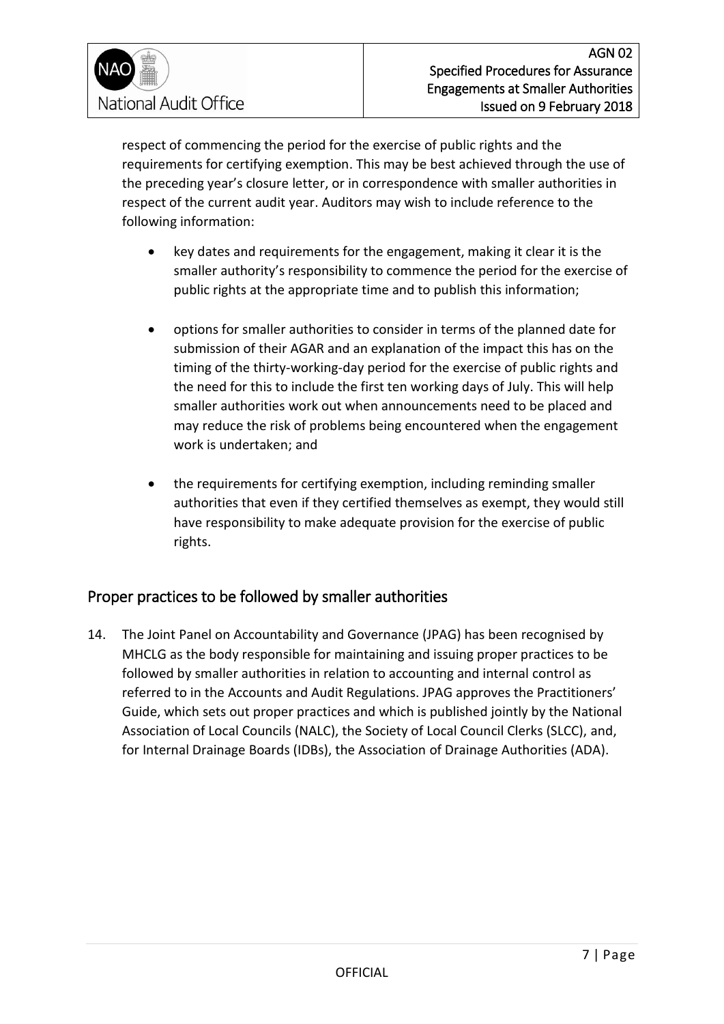

respect of commencing the period for the exercise of public rights and the requirements for certifying exemption. This may be best achieved through the use of the preceding year's closure letter, or in correspondence with smaller authorities in respect of the current audit year. Auditors may wish to include reference to the following information:

- key dates and requirements for the engagement, making it clear it is the smaller authority's responsibility to commence the period for the exercise of public rights at the appropriate time and to publish this information;
- options for smaller authorities to consider in terms of the planned date for submission of their AGAR and an explanation of the impact this has on the timing of the thirty-working-day period for the exercise of public rights and the need for this to include the first ten working days of July. This will help smaller authorities work out when announcements need to be placed and may reduce the risk of problems being encountered when the engagement work is undertaken; and
- the requirements for certifying exemption, including reminding smaller authorities that even if they certified themselves as exempt, they would still have responsibility to make adequate provision for the exercise of public rights.

### <span id="page-6-0"></span>Proper practices to be followed by smaller authorities

14. The Joint Panel on Accountability and Governance (JPAG) has been recognised by MHCLG as the body responsible for maintaining and issuing proper practices to be followed by smaller authorities in relation to accounting and internal control as referred to in the Accounts and Audit Regulations. JPAG approves the Practitioners' Guide, which sets out proper practices and which is published jointly by the National Association of Local Councils (NALC), the Society of Local Council Clerks (SLCC), and, for Internal Drainage Boards (IDBs), the Association of Drainage Authorities (ADA).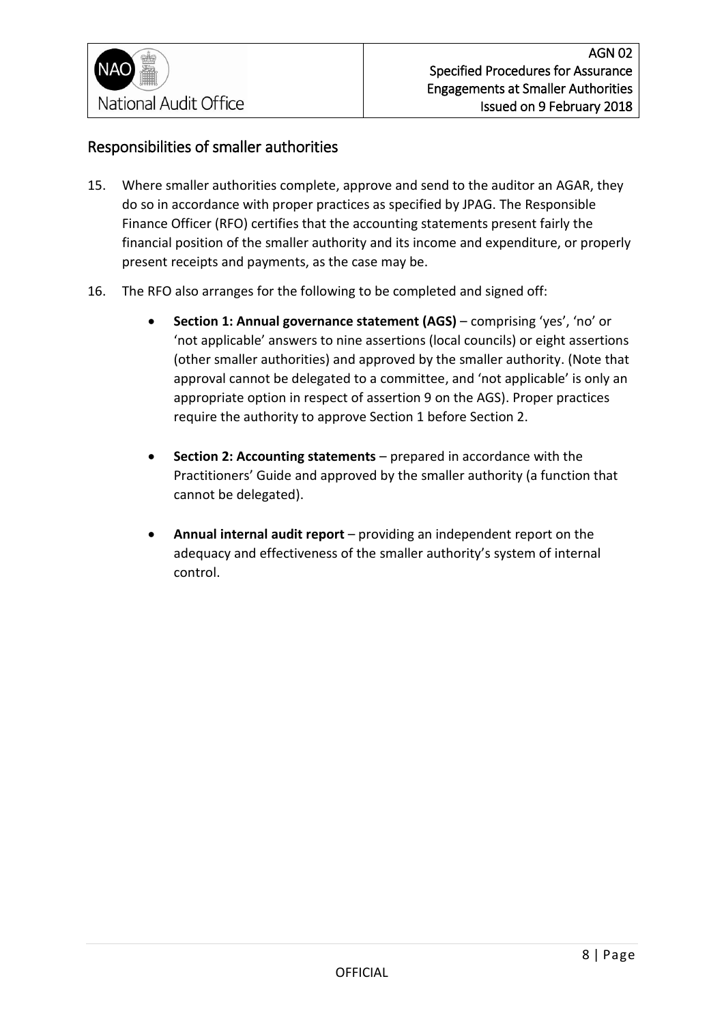

### <span id="page-7-0"></span>Responsibilities of smaller authorities

- 15. Where smaller authorities complete, approve and send to the auditor an AGAR, they do so in accordance with proper practices as specified by JPAG. The Responsible Finance Officer (RFO) certifies that the accounting statements present fairly the financial position of the smaller authority and its income and expenditure, or properly present receipts and payments, as the case may be.
- 16. The RFO also arranges for the following to be completed and signed off:
	- **Section 1: Annual governance statement (AGS)** comprising 'yes', 'no' or 'not applicable' answers to nine assertions (local councils) or eight assertions (other smaller authorities) and approved by the smaller authority. (Note that approval cannot be delegated to a committee, and 'not applicable' is only an appropriate option in respect of assertion 9 on the AGS). Proper practices require the authority to approve Section 1 before Section 2.
	- **Section 2: Accounting statements** prepared in accordance with the Practitioners' Guide and approved by the smaller authority (a function that cannot be delegated).
	- **Annual internal audit report** providing an independent report on the adequacy and effectiveness of the smaller authority's system of internal control.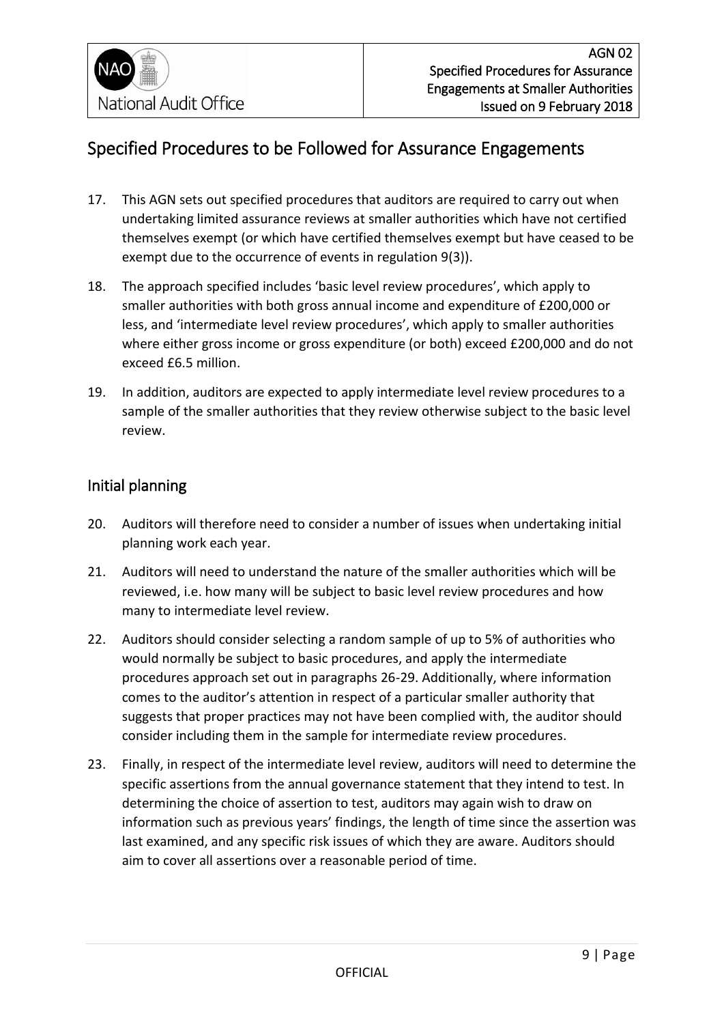## <span id="page-8-0"></span>Specified Procedures to be Followed for Assurance Engagements

- 17. This AGN sets out specified procedures that auditors are required to carry out when undertaking limited assurance reviews at smaller authorities which have not certified themselves exempt (or which have certified themselves exempt but have ceased to be exempt due to the occurrence of events in regulation 9(3)).
- 18. The approach specified includes 'basic level review procedures', which apply to smaller authorities with both gross annual income and expenditure of £200,000 or less, and 'intermediate level review procedures', which apply to smaller authorities where either gross income or gross expenditure (or both) exceed £200,000 and do not exceed £6.5 million.
- 19. In addition, auditors are expected to apply intermediate level review procedures to a sample of the smaller authorities that they review otherwise subject to the basic level review.

### <span id="page-8-1"></span>Initial planning

- 20. Auditors will therefore need to consider a number of issues when undertaking initial planning work each year.
- 21. Auditors will need to understand the nature of the smaller authorities which will be reviewed, i.e. how many will be subject to basic level review procedures and how many to intermediate level review.
- 22. Auditors should consider selecting a random sample of up to 5% of authorities who would normally be subject to basic procedures, and apply the intermediate procedures approach set out in paragraphs 26-29. Additionally, where information comes to the auditor's attention in respect of a particular smaller authority that suggests that proper practices may not have been complied with, the auditor should consider including them in the sample for intermediate review procedures.
- 23. Finally, in respect of the intermediate level review, auditors will need to determine the specific assertions from the annual governance statement that they intend to test. In determining the choice of assertion to test, auditors may again wish to draw on information such as previous years' findings, the length of time since the assertion was last examined, and any specific risk issues of which they are aware. Auditors should aim to cover all assertions over a reasonable period of time.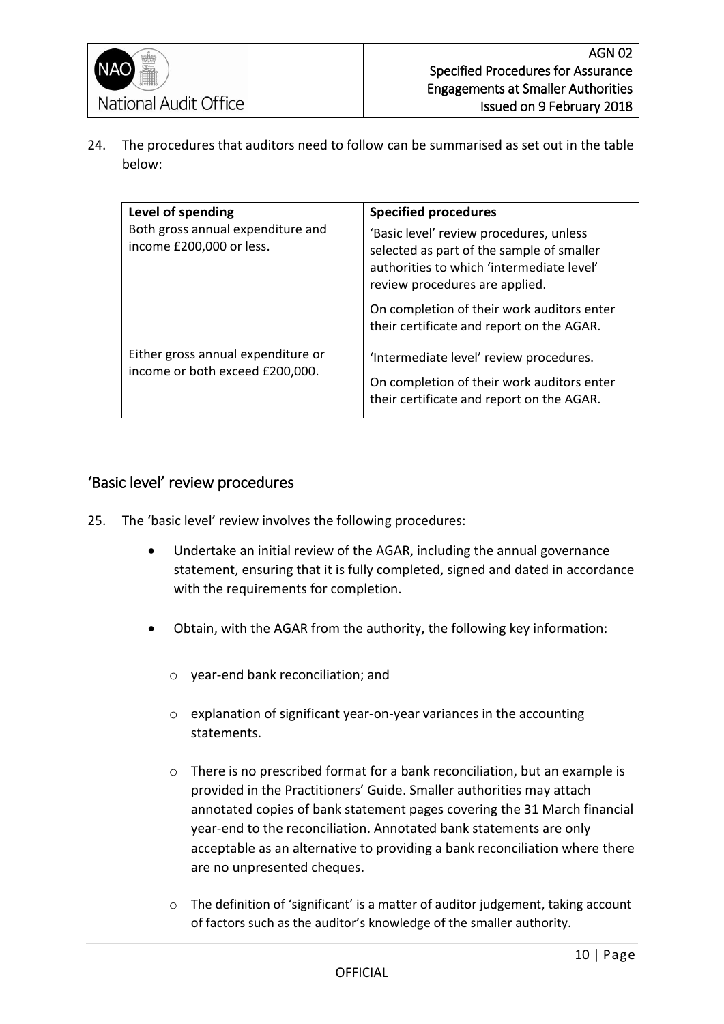

24. The procedures that auditors need to follow can be summarised as set out in the table below:

| Level of spending                                                     | <b>Specified procedures</b>                                                                                                                                                                                                                                    |
|-----------------------------------------------------------------------|----------------------------------------------------------------------------------------------------------------------------------------------------------------------------------------------------------------------------------------------------------------|
| Both gross annual expenditure and<br>income £200,000 or less.         | 'Basic level' review procedures, unless<br>selected as part of the sample of smaller<br>authorities to which 'intermediate level'<br>review procedures are applied.<br>On completion of their work auditors enter<br>their certificate and report on the AGAR. |
| Either gross annual expenditure or<br>income or both exceed £200,000. | 'Intermediate level' review procedures.<br>On completion of their work auditors enter<br>their certificate and report on the AGAR.                                                                                                                             |

### <span id="page-9-0"></span>'Basic level' review procedures

- 25. The 'basic level' review involves the following procedures:
	- Undertake an initial review of the AGAR, including the annual governance statement, ensuring that it is fully completed, signed and dated in accordance with the requirements for completion.
	- Obtain, with the AGAR from the authority, the following key information:
		- o year-end bank reconciliation; and
		- o explanation of significant year-on-year variances in the accounting statements.
		- o There is no prescribed format for a bank reconciliation, but an example is provided in the Practitioners' Guide. Smaller authorities may attach annotated copies of bank statement pages covering the 31 March financial year-end to the reconciliation. Annotated bank statements are only acceptable as an alternative to providing a bank reconciliation where there are no unpresented cheques.
		- $\circ$  The definition of 'significant' is a matter of auditor judgement, taking account of factors such as the auditor's knowledge of the smaller authority.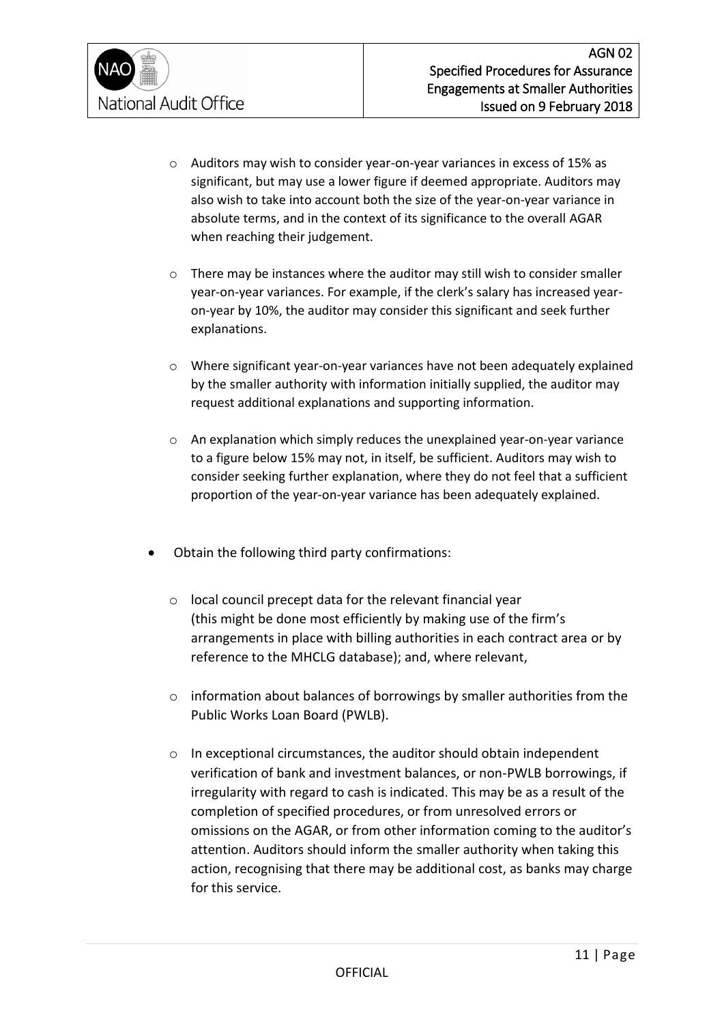- o Auditors may wish to consider year-on-year variances in excess of 15% as significant, but may use a lower figure if deemed appropriate. Auditors may also wish to take into account both the size of the year-on-year variance in absolute terms, and in the context of its significance to the overall AGAR when reaching their judgement.
- o There may be instances where the auditor may still wish to consider smaller year-on-year variances. For example, if the clerk's salary has increased yearon-year by 10%, the auditor may consider this significant and seek further explanations.
- o Where significant year-on-year variances have not been adequately explained by the smaller authority with information initially supplied, the auditor may request additional explanations and supporting information.
- $\circ$  An explanation which simply reduces the unexplained year-on-year variance to a figure below 15% may not, in itself, be sufficient. Auditors may wish to consider seeking further explanation, where they do not feel that a sufficient proportion of the year-on-year variance has been adequately explained.
- Obtain the following third party confirmations:
	- o local council precept data for the relevant financial year (this might be done most efficiently by making use of the firm's arrangements in place with billing authorities in each contract area or by reference to the MHCLG database); and, where relevant,
	- $\circ$  information about balances of borrowings by smaller authorities from the Public Works Loan Board (PWLB).
	- $\circ$  In exceptional circumstances, the auditor should obtain independent verification of bank and investment balances, or non-PWLB borrowings, if irregularity with regard to cash is indicated. This may be as a result of the completion of specified procedures, or from unresolved errors or omissions on the AGAR, or from other information coming to the auditor's attention. Auditors should inform the smaller authority when taking this action, recognising that there may be additional cost, as banks may charge for this service.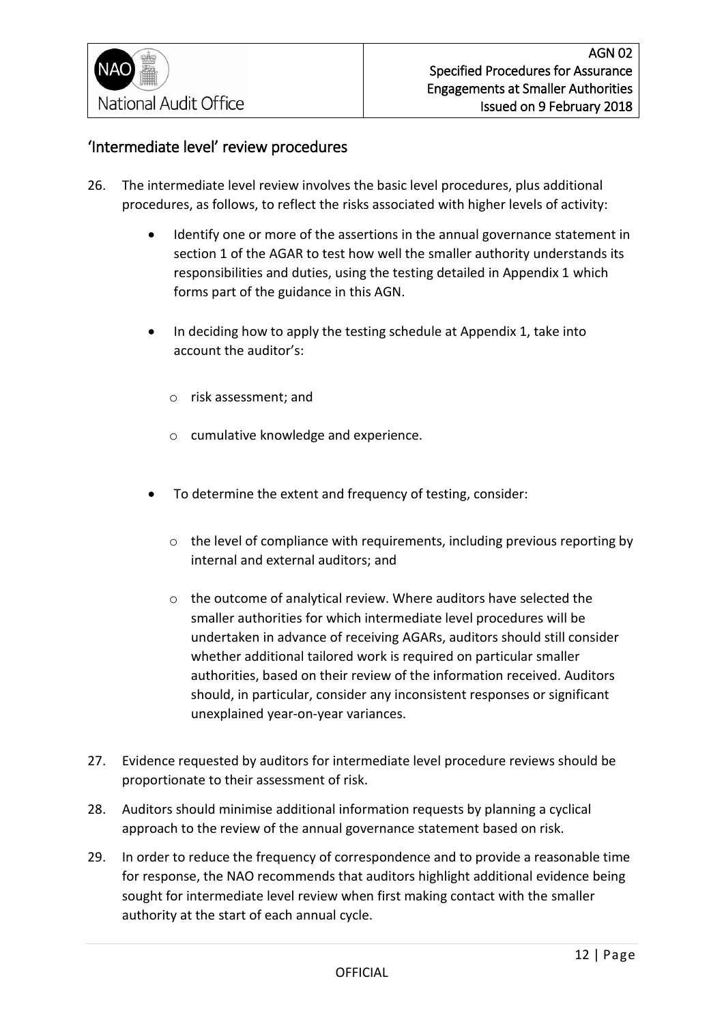### <span id="page-11-0"></span>'Intermediate level' review procedures

- 26. The intermediate level review involves the basic level procedures, plus additional procedures, as follows, to reflect the risks associated with higher levels of activity:
	- Identify one or more of the assertions in the annual governance statement in section 1 of the AGAR to test how well the smaller authority understands its responsibilities and duties, using the testing detailed in Appendix 1 which forms part of the guidance in this AGN.
	- In deciding how to apply the testing schedule at Appendix 1, take into account the auditor's:
		- o risk assessment; and
		- o cumulative knowledge and experience.
	- To determine the extent and frequency of testing, consider:
		- o the level of compliance with requirements, including previous reporting by internal and external auditors; and
		- o the outcome of analytical review. Where auditors have selected the smaller authorities for which intermediate level procedures will be undertaken in advance of receiving AGARs, auditors should still consider whether additional tailored work is required on particular smaller authorities, based on their review of the information received. Auditors should, in particular, consider any inconsistent responses or significant unexplained year-on-year variances.
- 27. Evidence requested by auditors for intermediate level procedure reviews should be proportionate to their assessment of risk.
- 28. Auditors should minimise additional information requests by planning a cyclical approach to the review of the annual governance statement based on risk.
- 29. In order to reduce the frequency of correspondence and to provide a reasonable time for response, the NAO recommends that auditors highlight additional evidence being sought for intermediate level review when first making contact with the smaller authority at the start of each annual cycle.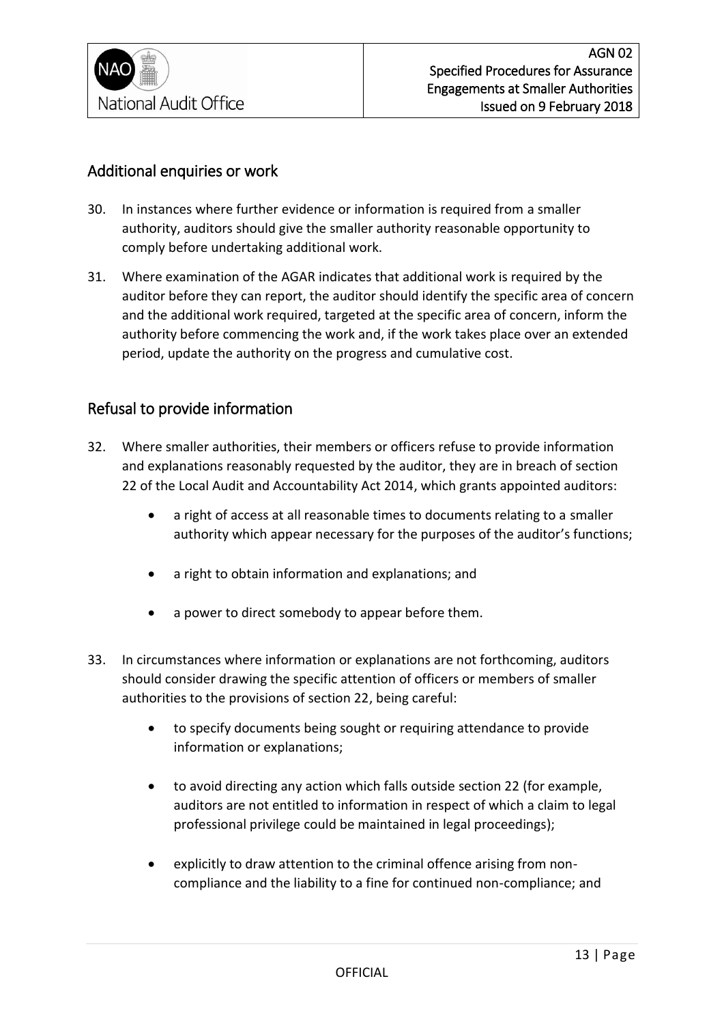

### <span id="page-12-0"></span>Additional enquiries or work

- 30. In instances where further evidence or information is required from a smaller authority, auditors should give the smaller authority reasonable opportunity to comply before undertaking additional work.
- 31. Where examination of the AGAR indicates that additional work is required by the auditor before they can report, the auditor should identify the specific area of concern and the additional work required, targeted at the specific area of concern, inform the authority before commencing the work and, if the work takes place over an extended period, update the authority on the progress and cumulative cost.

### <span id="page-12-1"></span>Refusal to provide information

- 32. Where smaller authorities, their members or officers refuse to provide information and explanations reasonably requested by the auditor, they are in breach of section 22 of the Local Audit and Accountability Act 2014, which grants appointed auditors:
	- a right of access at all reasonable times to documents relating to a smaller authority which appear necessary for the purposes of the auditor's functions;
	- a right to obtain information and explanations; and
	- a power to direct somebody to appear before them.
- 33. In circumstances where information or explanations are not forthcoming, auditors should consider drawing the specific attention of officers or members of smaller authorities to the provisions of section 22, being careful:
	- to specify documents being sought or requiring attendance to provide information or explanations;
	- to avoid directing any action which falls outside section 22 (for example, auditors are not entitled to information in respect of which a claim to legal professional privilege could be maintained in legal proceedings);
	- explicitly to draw attention to the criminal offence arising from noncompliance and the liability to a fine for continued non-compliance; and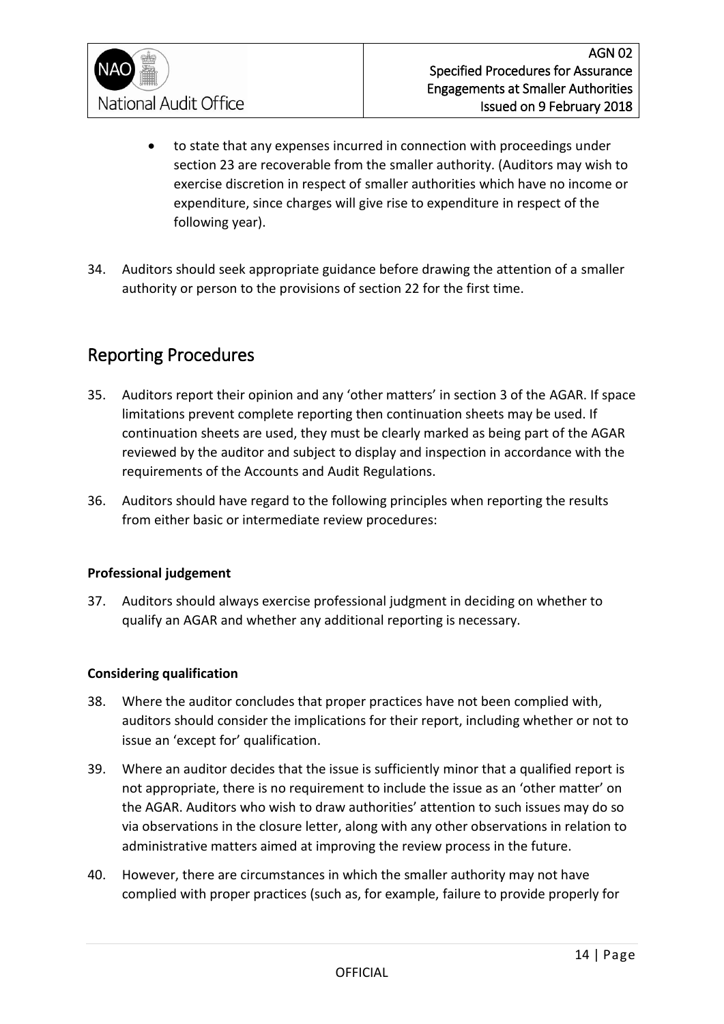

- to state that any expenses incurred in connection with proceedings under section 23 are recoverable from the smaller authority. (Auditors may wish to exercise discretion in respect of smaller authorities which have no income or expenditure, since charges will give rise to expenditure in respect of the following year).
- 34. Auditors should seek appropriate guidance before drawing the attention of a smaller authority or person to the provisions of section 22 for the first time.

## <span id="page-13-0"></span>Reporting Procedures

- 35. Auditors report their opinion and any 'other matters' in section 3 of the AGAR. If space limitations prevent complete reporting then continuation sheets may be used. If continuation sheets are used, they must be clearly marked as being part of the AGAR reviewed by the auditor and subject to display and inspection in accordance with the requirements of the Accounts and Audit Regulations.
- 36. Auditors should have regard to the following principles when reporting the results from either basic or intermediate review procedures:

#### **Professional judgement**

37. Auditors should always exercise professional judgment in deciding on whether to qualify an AGAR and whether any additional reporting is necessary.

#### **Considering qualification**

- 38. Where the auditor concludes that proper practices have not been complied with, auditors should consider the implications for their report, including whether or not to issue an 'except for' qualification.
- 39. Where an auditor decides that the issue is sufficiently minor that a qualified report is not appropriate, there is no requirement to include the issue as an 'other matter' on the AGAR. Auditors who wish to draw authorities' attention to such issues may do so via observations in the closure letter, along with any other observations in relation to administrative matters aimed at improving the review process in the future.
- 40. However, there are circumstances in which the smaller authority may not have complied with proper practices (such as, for example, failure to provide properly for

**OFFICIAL**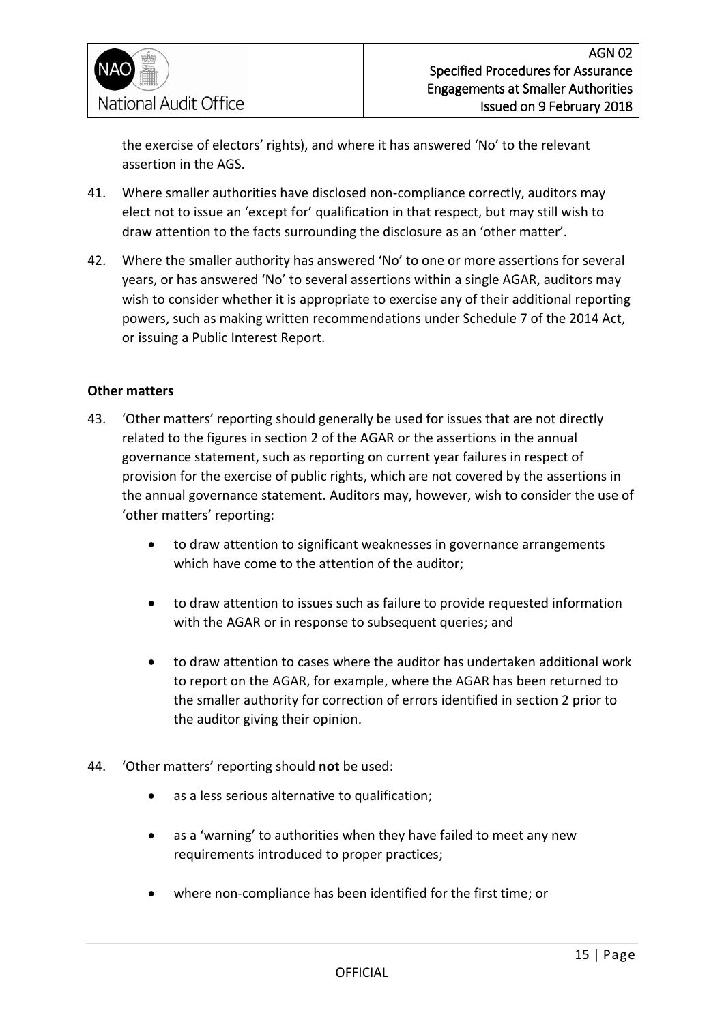

the exercise of electors' rights), and where it has answered 'No' to the relevant assertion in the AGS.

- 41. Where smaller authorities have disclosed non-compliance correctly, auditors may elect not to issue an 'except for' qualification in that respect, but may still wish to draw attention to the facts surrounding the disclosure as an 'other matter'.
- 42. Where the smaller authority has answered 'No' to one or more assertions for several years, or has answered 'No' to several assertions within a single AGAR, auditors may wish to consider whether it is appropriate to exercise any of their additional reporting powers, such as making written recommendations under Schedule 7 of the 2014 Act, or issuing a Public Interest Report.

#### **Other matters**

- 43. 'Other matters' reporting should generally be used for issues that are not directly related to the figures in section 2 of the AGAR or the assertions in the annual governance statement, such as reporting on current year failures in respect of provision for the exercise of public rights, which are not covered by the assertions in the annual governance statement. Auditors may, however, wish to consider the use of 'other matters' reporting:
	- to draw attention to significant weaknesses in governance arrangements which have come to the attention of the auditor;
	- to draw attention to issues such as failure to provide requested information with the AGAR or in response to subsequent queries; and
	- to draw attention to cases where the auditor has undertaken additional work to report on the AGAR, for example, where the AGAR has been returned to the smaller authority for correction of errors identified in section 2 prior to the auditor giving their opinion.
- 44. 'Other matters' reporting should **not** be used:
	- as a less serious alternative to qualification;
	- as a 'warning' to authorities when they have failed to meet any new requirements introduced to proper practices;
	- where non-compliance has been identified for the first time; or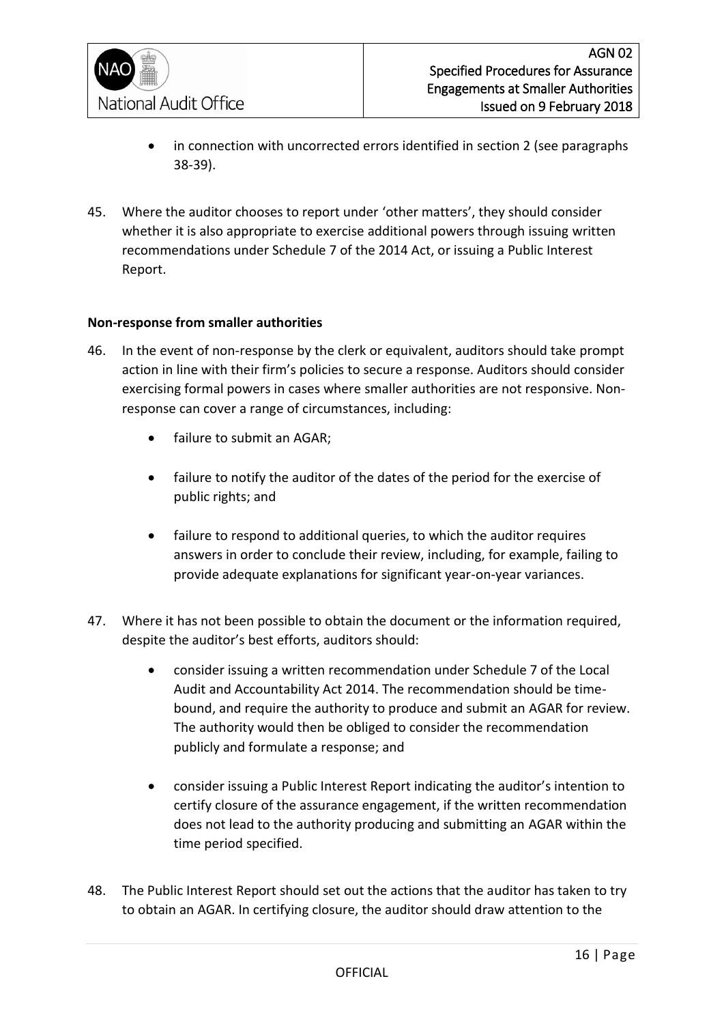

- in connection with uncorrected errors identified in section 2 (see paragraphs 38-39).
- 45. Where the auditor chooses to report under 'other matters', they should consider whether it is also appropriate to exercise additional powers through issuing written recommendations under Schedule 7 of the 2014 Act, or issuing a Public Interest Report.

#### **Non-response from smaller authorities**

- 46. In the event of non-response by the clerk or equivalent, auditors should take prompt action in line with their firm's policies to secure a response. Auditors should consider exercising formal powers in cases where smaller authorities are not responsive. Nonresponse can cover a range of circumstances, including:
	- failure to submit an AGAR;
	- failure to notify the auditor of the dates of the period for the exercise of public rights; and
	- failure to respond to additional queries, to which the auditor requires answers in order to conclude their review, including, for example, failing to provide adequate explanations for significant year-on-year variances.
- 47. Where it has not been possible to obtain the document or the information required, despite the auditor's best efforts, auditors should:
	- consider issuing a written recommendation under Schedule 7 of the Local Audit and Accountability Act 2014. The recommendation should be timebound, and require the authority to produce and submit an AGAR for review. The authority would then be obliged to consider the recommendation publicly and formulate a response; and
	- consider issuing a Public Interest Report indicating the auditor's intention to certify closure of the assurance engagement, if the written recommendation does not lead to the authority producing and submitting an AGAR within the time period specified.
- 48. The Public Interest Report should set out the actions that the auditor has taken to try to obtain an AGAR. In certifying closure, the auditor should draw attention to the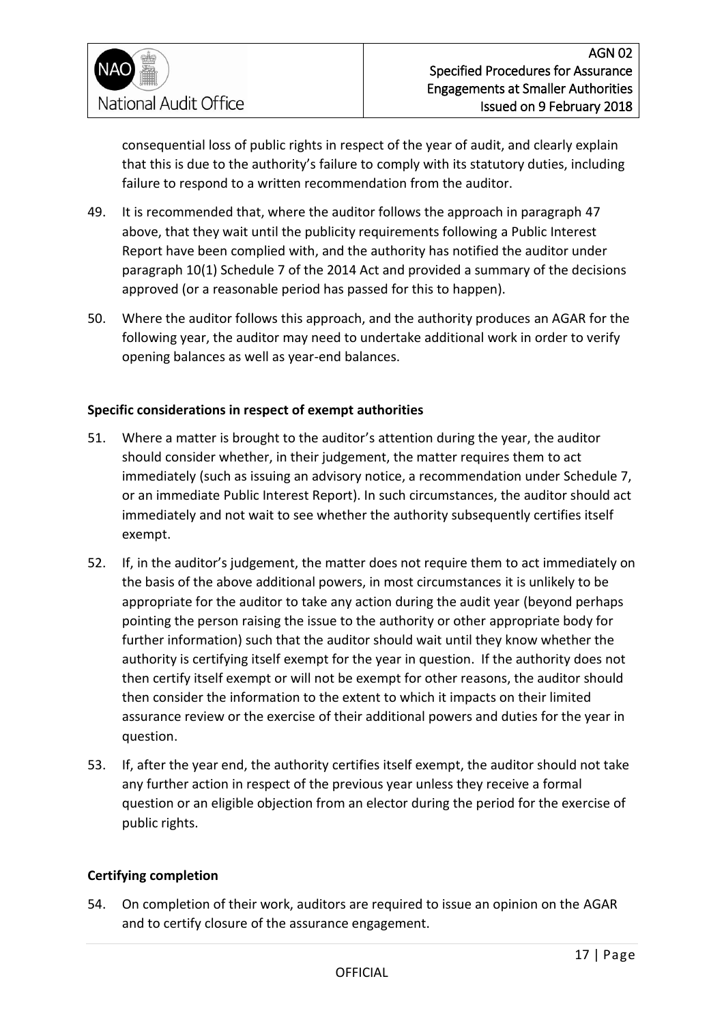

consequential loss of public rights in respect of the year of audit, and clearly explain that this is due to the authority's failure to comply with its statutory duties, including failure to respond to a written recommendation from the auditor.

- 49. It is recommended that, where the auditor follows the approach in paragraph 47 above, that they wait until the publicity requirements following a Public Interest Report have been complied with, and the authority has notified the auditor under paragraph 10(1) Schedule 7 of the 2014 Act and provided a summary of the decisions approved (or a reasonable period has passed for this to happen).
- 50. Where the auditor follows this approach, and the authority produces an AGAR for the following year, the auditor may need to undertake additional work in order to verify opening balances as well as year-end balances.

#### **Specific considerations in respect of exempt authorities**

- 51. Where a matter is brought to the auditor's attention during the year, the auditor should consider whether, in their judgement, the matter requires them to act immediately (such as issuing an advisory notice, a recommendation under Schedule 7, or an immediate Public Interest Report). In such circumstances, the auditor should act immediately and not wait to see whether the authority subsequently certifies itself exempt.
- 52. If, in the auditor's judgement, the matter does not require them to act immediately on the basis of the above additional powers, in most circumstances it is unlikely to be appropriate for the auditor to take any action during the audit year (beyond perhaps pointing the person raising the issue to the authority or other appropriate body for further information) such that the auditor should wait until they know whether the authority is certifying itself exempt for the year in question. If the authority does not then certify itself exempt or will not be exempt for other reasons, the auditor should then consider the information to the extent to which it impacts on their limited assurance review or the exercise of their additional powers and duties for the year in question.
- 53. If, after the year end, the authority certifies itself exempt, the auditor should not take any further action in respect of the previous year unless they receive a formal question or an eligible objection from an elector during the period for the exercise of public rights.

#### **Certifying completion**

54. On completion of their work, auditors are required to issue an opinion on the AGAR and to certify closure of the assurance engagement.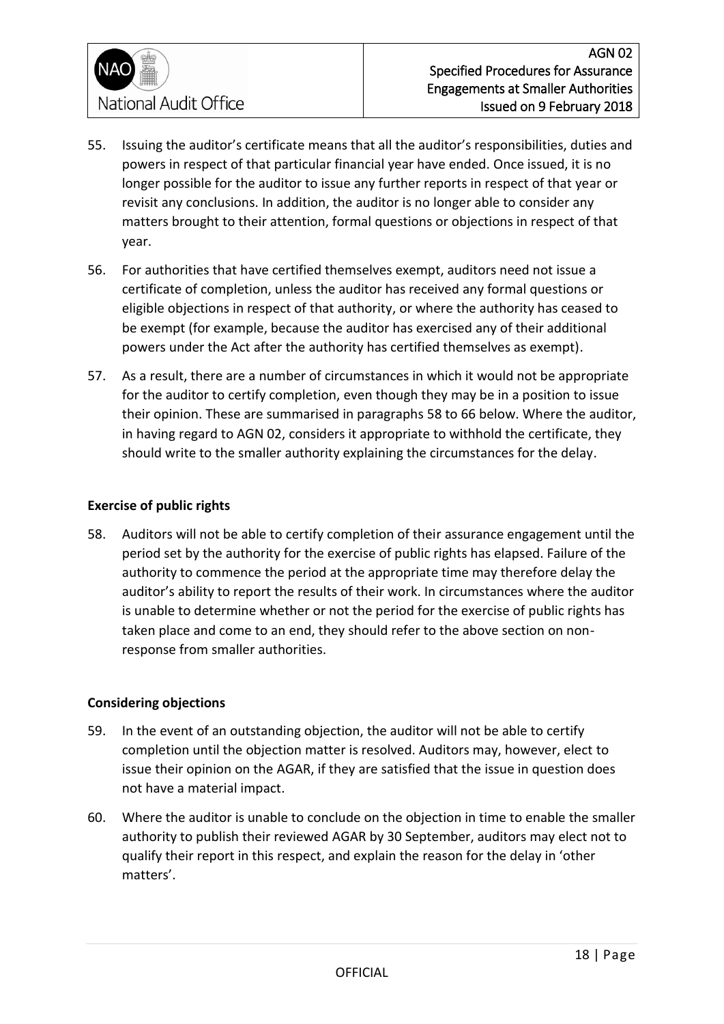

- 55. Issuing the auditor's certificate means that all the auditor's responsibilities, duties and powers in respect of that particular financial year have ended. Once issued, it is no longer possible for the auditor to issue any further reports in respect of that year or revisit any conclusions. In addition, the auditor is no longer able to consider any matters brought to their attention, formal questions or objections in respect of that year.
- 56. For authorities that have certified themselves exempt, auditors need not issue a certificate of completion, unless the auditor has received any formal questions or eligible objections in respect of that authority, or where the authority has ceased to be exempt (for example, because the auditor has exercised any of their additional powers under the Act after the authority has certified themselves as exempt).
- 57. As a result, there are a number of circumstances in which it would not be appropriate for the auditor to certify completion, even though they may be in a position to issue their opinion. These are summarised in paragraphs 58 to 66 below. Where the auditor, in having regard to AGN 02, considers it appropriate to withhold the certificate, they should write to the smaller authority explaining the circumstances for the delay.

#### **Exercise of public rights**

58. Auditors will not be able to certify completion of their assurance engagement until the period set by the authority for the exercise of public rights has elapsed. Failure of the authority to commence the period at the appropriate time may therefore delay the auditor's ability to report the results of their work. In circumstances where the auditor is unable to determine whether or not the period for the exercise of public rights has taken place and come to an end, they should refer to the above section on nonresponse from smaller authorities.

#### **Considering objections**

- 59. In the event of an outstanding objection, the auditor will not be able to certify completion until the objection matter is resolved. Auditors may, however, elect to issue their opinion on the AGAR, if they are satisfied that the issue in question does not have a material impact.
- 60. Where the auditor is unable to conclude on the objection in time to enable the smaller authority to publish their reviewed AGAR by 30 September, auditors may elect not to qualify their report in this respect, and explain the reason for the delay in 'other matters'.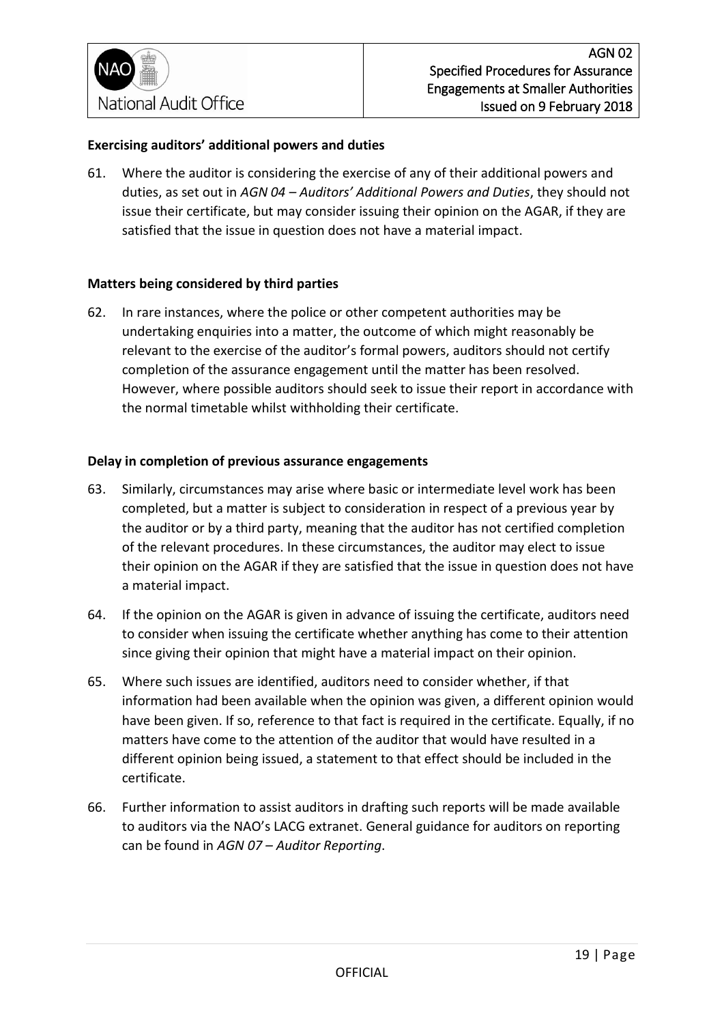#### **Exercising auditors' additional powers and duties**

61. Where the auditor is considering the exercise of any of their additional powers and duties, as set out in *AGN 04 – Auditors' Additional Powers and Duties*, they should not issue their certificate, but may consider issuing their opinion on the AGAR, if they are satisfied that the issue in question does not have a material impact.

#### **Matters being considered by third parties**

62. In rare instances, where the police or other competent authorities may be undertaking enquiries into a matter, the outcome of which might reasonably be relevant to the exercise of the auditor's formal powers, auditors should not certify completion of the assurance engagement until the matter has been resolved. However, where possible auditors should seek to issue their report in accordance with the normal timetable whilst withholding their certificate.

#### **Delay in completion of previous assurance engagements**

- 63. Similarly, circumstances may arise where basic or intermediate level work has been completed, but a matter is subject to consideration in respect of a previous year by the auditor or by a third party, meaning that the auditor has not certified completion of the relevant procedures. In these circumstances, the auditor may elect to issue their opinion on the AGAR if they are satisfied that the issue in question does not have a material impact.
- 64. If the opinion on the AGAR is given in advance of issuing the certificate, auditors need to consider when issuing the certificate whether anything has come to their attention since giving their opinion that might have a material impact on their opinion.
- 65. Where such issues are identified, auditors need to consider whether, if that information had been available when the opinion was given, a different opinion would have been given. If so, reference to that fact is required in the certificate. Equally, if no matters have come to the attention of the auditor that would have resulted in a different opinion being issued, a statement to that effect should be included in the certificate.
- 66. Further information to assist auditors in drafting such reports will be made available to auditors via the NAO's LACG extranet. General guidance for auditors on reporting can be found in *AGN 07 – Auditor Reporting*.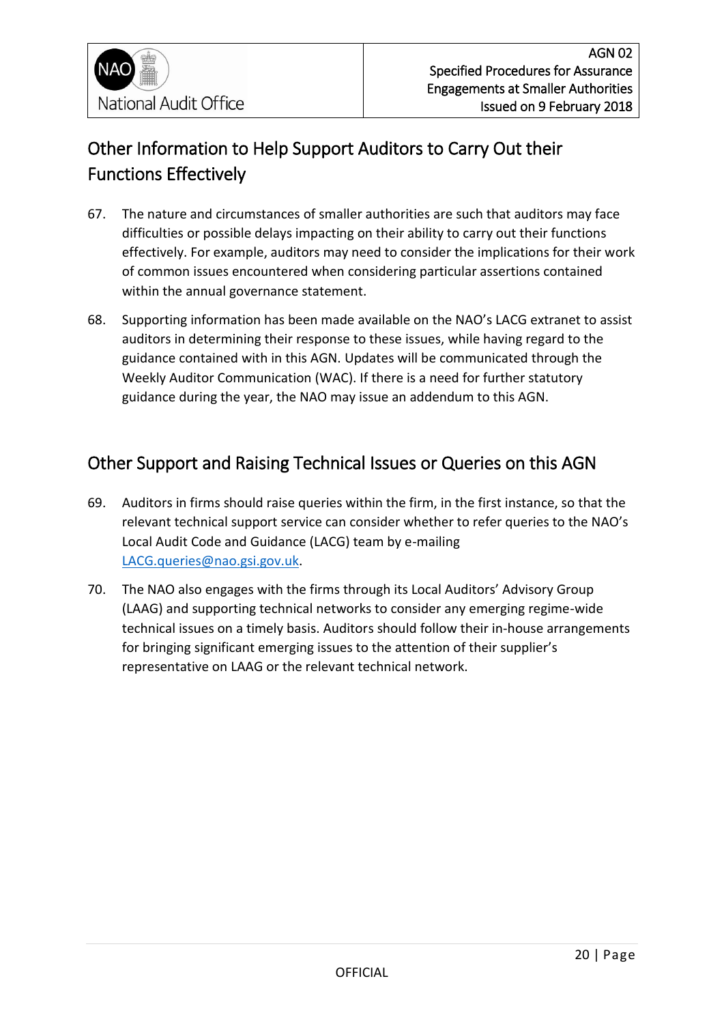## <span id="page-19-0"></span>Other Information to Help Support Auditors to Carry Out their Functions Effectively

- 67. The nature and circumstances of smaller authorities are such that auditors may face difficulties or possible delays impacting on their ability to carry out their functions effectively. For example, auditors may need to consider the implications for their work of common issues encountered when considering particular assertions contained within the annual governance statement.
- 68. Supporting information has been made available on the NAO's LACG extranet to assist auditors in determining their response to these issues, while having regard to the guidance contained with in this AGN. Updates will be communicated through the Weekly Auditor Communication (WAC). If there is a need for further statutory guidance during the year, the NAO may issue an addendum to this AGN.

## <span id="page-19-1"></span>Other Support and Raising Technical Issues or Queries on this AGN

- 69. Auditors in firms should raise queries within the firm, in the first instance, so that the relevant technical support service can consider whether to refer queries to the NAO's Local Audit Code and Guidance (LACG) team by e-mailing [LACG.queries@nao.gsi.gov.uk.](mailto:LACG.queries@nao.gsi.gov.uk)
- 70. The NAO also engages with the firms through its Local Auditors' Advisory Group (LAAG) and supporting technical networks to consider any emerging regime-wide technical issues on a timely basis. Auditors should follow their in-house arrangements for bringing significant emerging issues to the attention of their supplier's representative on LAAG or the relevant technical network.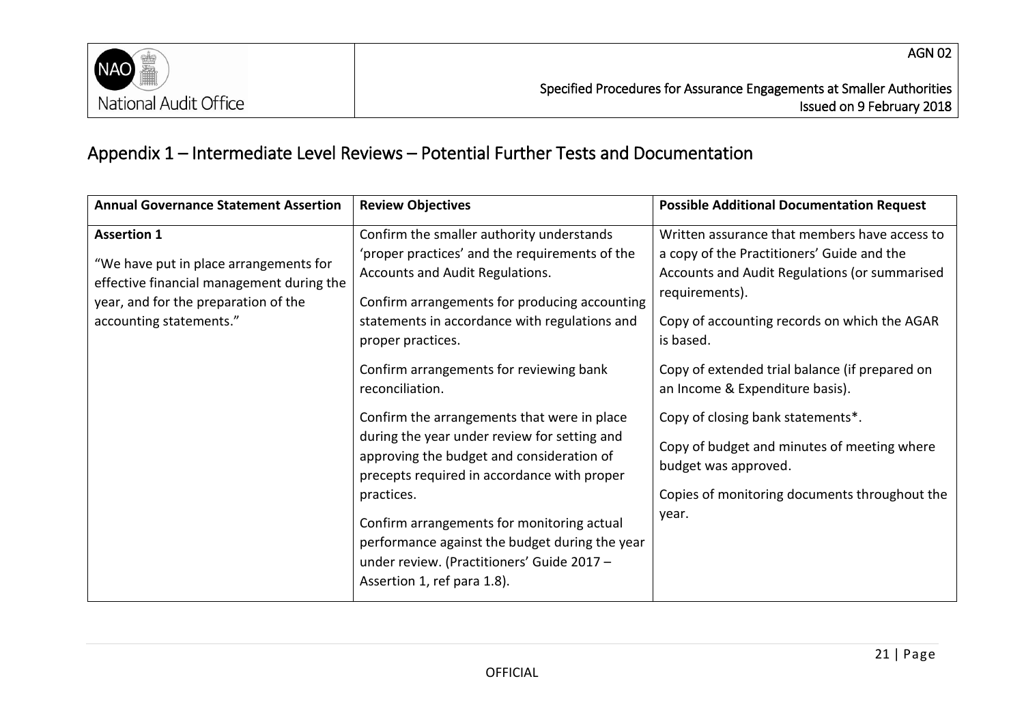

## Appendix 1 – Intermediate Level Reviews – Potential Further Tests and Documentation

<span id="page-20-0"></span>

| <b>Annual Governance Statement Assertion</b>                                                                                                                                 | <b>Review Objectives</b>                                                                                                                                                                                                                                                                                                                                                           | <b>Possible Additional Documentation Request</b>                                                                                                                                                                                                                                                                 |
|------------------------------------------------------------------------------------------------------------------------------------------------------------------------------|------------------------------------------------------------------------------------------------------------------------------------------------------------------------------------------------------------------------------------------------------------------------------------------------------------------------------------------------------------------------------------|------------------------------------------------------------------------------------------------------------------------------------------------------------------------------------------------------------------------------------------------------------------------------------------------------------------|
| <b>Assertion 1</b><br>"We have put in place arrangements for<br>effective financial management during the<br>year, and for the preparation of the<br>accounting statements." | Confirm the smaller authority understands<br>'proper practices' and the requirements of the<br>Accounts and Audit Regulations.<br>Confirm arrangements for producing accounting<br>statements in accordance with regulations and<br>proper practices.<br>Confirm arrangements for reviewing bank<br>reconciliation.                                                                | Written assurance that members have access to<br>a copy of the Practitioners' Guide and the<br>Accounts and Audit Regulations (or summarised<br>requirements).<br>Copy of accounting records on which the AGAR<br>is based.<br>Copy of extended trial balance (if prepared on<br>an Income & Expenditure basis). |
|                                                                                                                                                                              | Confirm the arrangements that were in place<br>during the year under review for setting and<br>approving the budget and consideration of<br>precepts required in accordance with proper<br>practices.<br>Confirm arrangements for monitoring actual<br>performance against the budget during the year<br>under review. (Practitioners' Guide 2017 -<br>Assertion 1, ref para 1.8). | Copy of closing bank statements*.<br>Copy of budget and minutes of meeting where<br>budget was approved.<br>Copies of monitoring documents throughout the<br>year.                                                                                                                                               |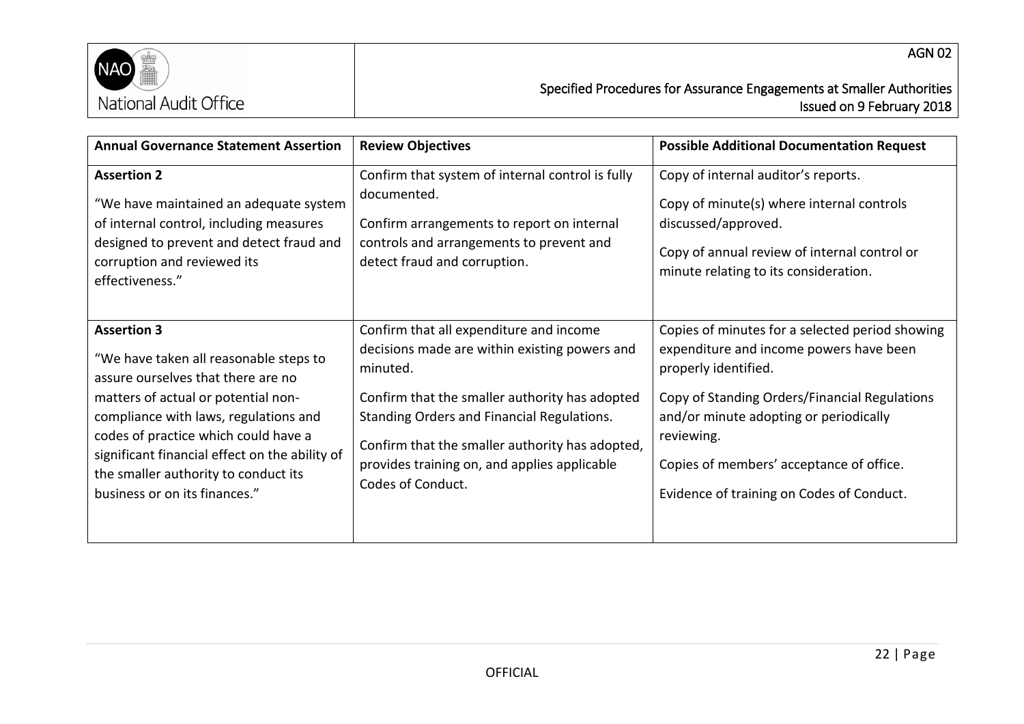

Issued on 9 February 2018

| <b>Annual Governance Statement Assertion</b>                                                                                                                                                                                                                                                                                                          | <b>Review Objectives</b>                                                                                                                                                                                                                                                                                                     | <b>Possible Additional Documentation Request</b>                                                                                                                                                                                                                                                                     |
|-------------------------------------------------------------------------------------------------------------------------------------------------------------------------------------------------------------------------------------------------------------------------------------------------------------------------------------------------------|------------------------------------------------------------------------------------------------------------------------------------------------------------------------------------------------------------------------------------------------------------------------------------------------------------------------------|----------------------------------------------------------------------------------------------------------------------------------------------------------------------------------------------------------------------------------------------------------------------------------------------------------------------|
| <b>Assertion 2</b><br>"We have maintained an adequate system<br>of internal control, including measures<br>designed to prevent and detect fraud and<br>corruption and reviewed its<br>effectiveness."                                                                                                                                                 | Confirm that system of internal control is fully<br>documented.<br>Confirm arrangements to report on internal<br>controls and arrangements to prevent and<br>detect fraud and corruption.                                                                                                                                    | Copy of internal auditor's reports.<br>Copy of minute(s) where internal controls<br>discussed/approved.<br>Copy of annual review of internal control or<br>minute relating to its consideration.                                                                                                                     |
| <b>Assertion 3</b><br>"We have taken all reasonable steps to<br>assure ourselves that there are no<br>matters of actual or potential non-<br>compliance with laws, regulations and<br>codes of practice which could have a<br>significant financial effect on the ability of<br>the smaller authority to conduct its<br>business or on its finances." | Confirm that all expenditure and income<br>decisions made are within existing powers and<br>minuted.<br>Confirm that the smaller authority has adopted<br>Standing Orders and Financial Regulations.<br>Confirm that the smaller authority has adopted,<br>provides training on, and applies applicable<br>Codes of Conduct. | Copies of minutes for a selected period showing<br>expenditure and income powers have been<br>properly identified.<br>Copy of Standing Orders/Financial Regulations<br>and/or minute adopting or periodically<br>reviewing.<br>Copies of members' acceptance of office.<br>Evidence of training on Codes of Conduct. |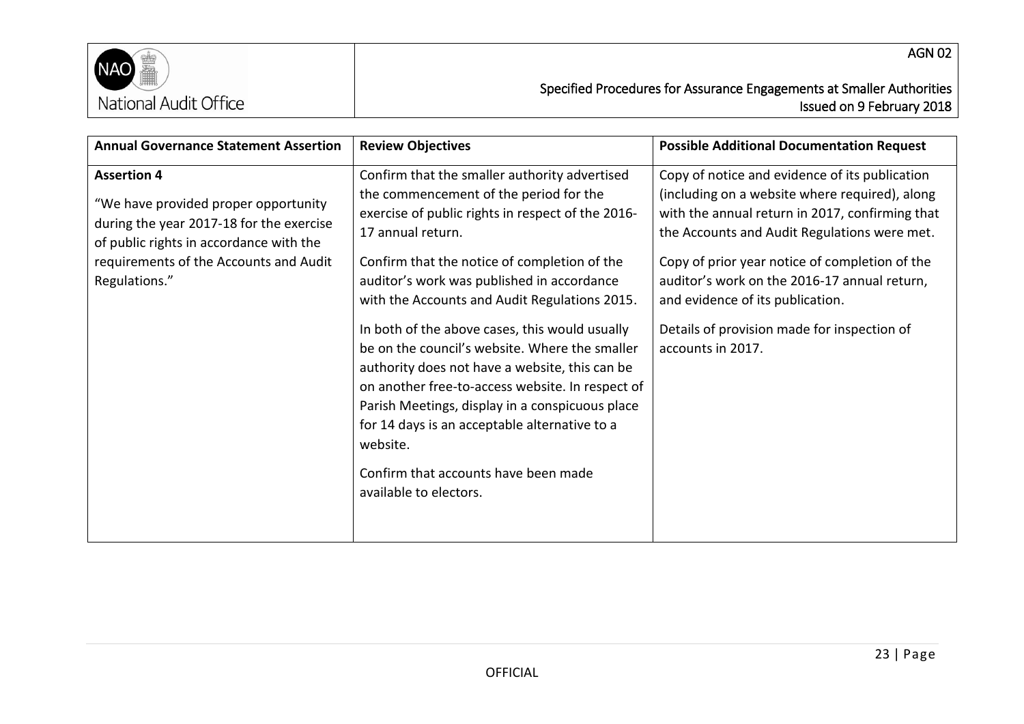

| <b>Annual Governance Statement Assertion</b>                                                                                                                                                                 | <b>Review Objectives</b>                                                                                                                                                                                                                                                                                                                                                                                                                                                                                                                                                                                                                                                                                     | <b>Possible Additional Documentation Request</b>                                                                                                                                                                                                                                                                                                                                                              |
|--------------------------------------------------------------------------------------------------------------------------------------------------------------------------------------------------------------|--------------------------------------------------------------------------------------------------------------------------------------------------------------------------------------------------------------------------------------------------------------------------------------------------------------------------------------------------------------------------------------------------------------------------------------------------------------------------------------------------------------------------------------------------------------------------------------------------------------------------------------------------------------------------------------------------------------|---------------------------------------------------------------------------------------------------------------------------------------------------------------------------------------------------------------------------------------------------------------------------------------------------------------------------------------------------------------------------------------------------------------|
| <b>Assertion 4</b><br>"We have provided proper opportunity<br>during the year 2017-18 for the exercise<br>of public rights in accordance with the<br>requirements of the Accounts and Audit<br>Regulations." | Confirm that the smaller authority advertised<br>the commencement of the period for the<br>exercise of public rights in respect of the 2016-<br>17 annual return.<br>Confirm that the notice of completion of the<br>auditor's work was published in accordance<br>with the Accounts and Audit Regulations 2015.<br>In both of the above cases, this would usually<br>be on the council's website. Where the smaller<br>authority does not have a website, this can be<br>on another free-to-access website. In respect of<br>Parish Meetings, display in a conspicuous place<br>for 14 days is an acceptable alternative to a<br>website.<br>Confirm that accounts have been made<br>available to electors. | Copy of notice and evidence of its publication<br>(including on a website where required), along<br>with the annual return in 2017, confirming that<br>the Accounts and Audit Regulations were met.<br>Copy of prior year notice of completion of the<br>auditor's work on the 2016-17 annual return,<br>and evidence of its publication.<br>Details of provision made for inspection of<br>accounts in 2017. |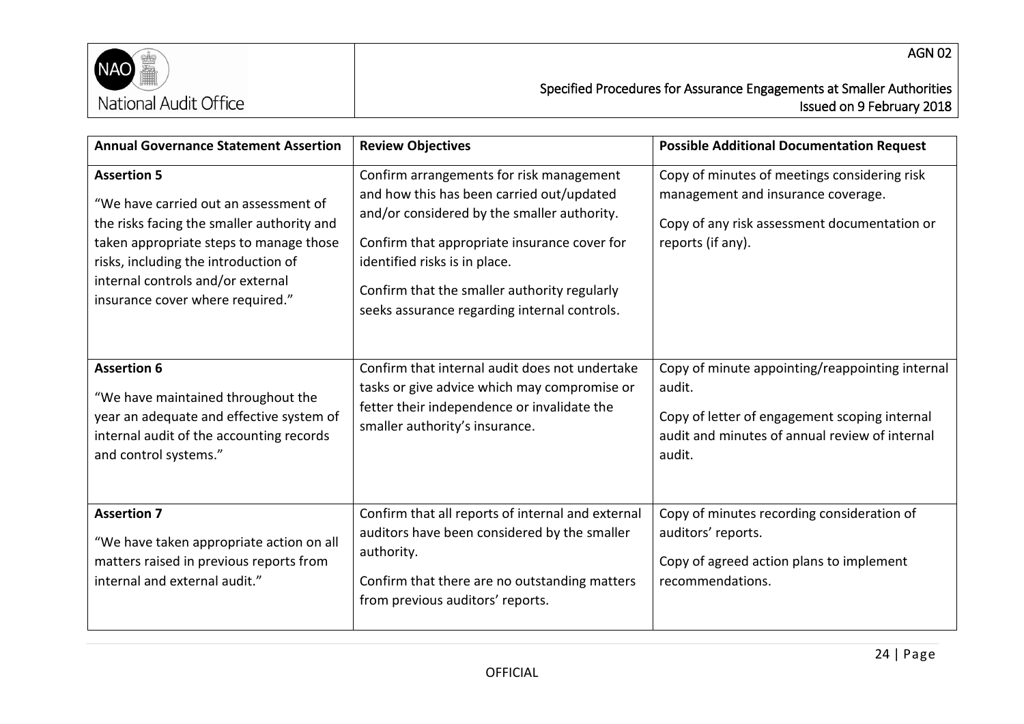

| <b>Annual Governance Statement Assertion</b>                                                                                                                                                                                                                          | <b>Review Objectives</b>                                                                                                                                                                                                                                                                                              | <b>Possible Additional Documentation Request</b>                                                                                                                       |
|-----------------------------------------------------------------------------------------------------------------------------------------------------------------------------------------------------------------------------------------------------------------------|-----------------------------------------------------------------------------------------------------------------------------------------------------------------------------------------------------------------------------------------------------------------------------------------------------------------------|------------------------------------------------------------------------------------------------------------------------------------------------------------------------|
| <b>Assertion 5</b><br>"We have carried out an assessment of<br>the risks facing the smaller authority and<br>taken appropriate steps to manage those<br>risks, including the introduction of<br>internal controls and/or external<br>insurance cover where required." | Confirm arrangements for risk management<br>and how this has been carried out/updated<br>and/or considered by the smaller authority.<br>Confirm that appropriate insurance cover for<br>identified risks is in place.<br>Confirm that the smaller authority regularly<br>seeks assurance regarding internal controls. | Copy of minutes of meetings considering risk<br>management and insurance coverage.<br>Copy of any risk assessment documentation or<br>reports (if any).                |
| <b>Assertion 6</b><br>"We have maintained throughout the<br>year an adequate and effective system of<br>internal audit of the accounting records<br>and control systems."                                                                                             | Confirm that internal audit does not undertake<br>tasks or give advice which may compromise or<br>fetter their independence or invalidate the<br>smaller authority's insurance.                                                                                                                                       | Copy of minute appointing/reappointing internal<br>audit.<br>Copy of letter of engagement scoping internal<br>audit and minutes of annual review of internal<br>audit. |
| <b>Assertion 7</b><br>"We have taken appropriate action on all<br>matters raised in previous reports from<br>internal and external audit."                                                                                                                            | Confirm that all reports of internal and external<br>auditors have been considered by the smaller<br>authority.<br>Confirm that there are no outstanding matters<br>from previous auditors' reports.                                                                                                                  | Copy of minutes recording consideration of<br>auditors' reports.<br>Copy of agreed action plans to implement<br>recommendations.                                       |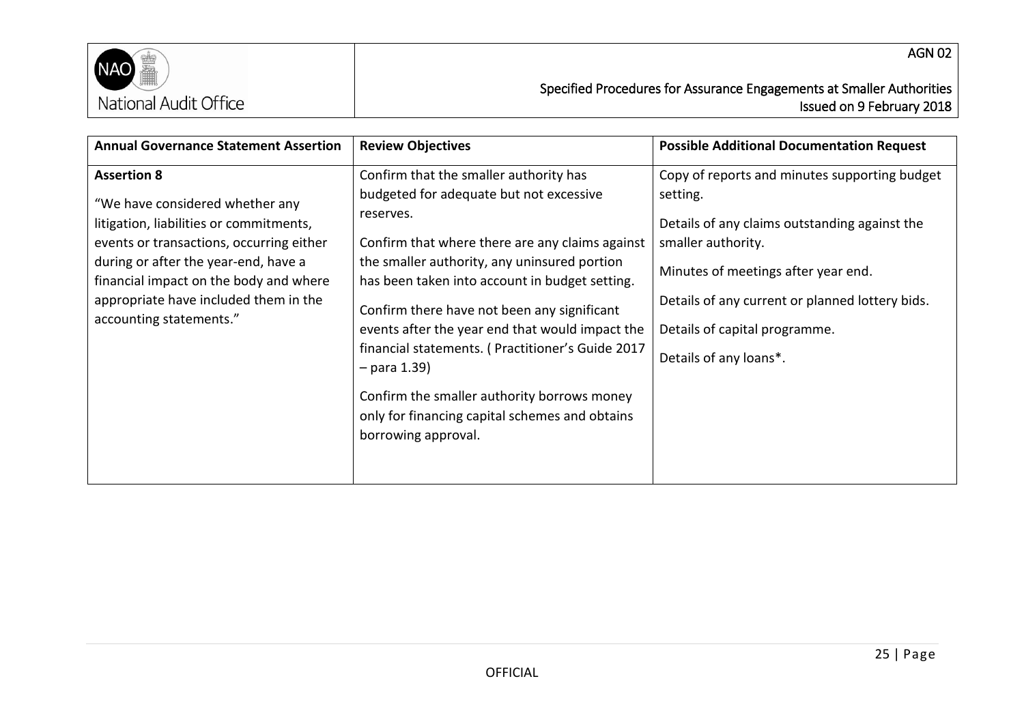

| <b>Annual Governance Statement Assertion</b>                                                                                                                                                                                                                                                       | <b>Review Objectives</b>                                                                                                                                                                                                                                                                                                                                                                                                                                                                                                                            | <b>Possible Additional Documentation Request</b>                                                                                                                                                                                                                                      |
|----------------------------------------------------------------------------------------------------------------------------------------------------------------------------------------------------------------------------------------------------------------------------------------------------|-----------------------------------------------------------------------------------------------------------------------------------------------------------------------------------------------------------------------------------------------------------------------------------------------------------------------------------------------------------------------------------------------------------------------------------------------------------------------------------------------------------------------------------------------------|---------------------------------------------------------------------------------------------------------------------------------------------------------------------------------------------------------------------------------------------------------------------------------------|
| <b>Assertion 8</b><br>"We have considered whether any<br>litigation, liabilities or commitments,<br>events or transactions, occurring either<br>during or after the year-end, have a<br>financial impact on the body and where<br>appropriate have included them in the<br>accounting statements." | Confirm that the smaller authority has<br>budgeted for adequate but not excessive<br>reserves.<br>Confirm that where there are any claims against<br>the smaller authority, any uninsured portion<br>has been taken into account in budget setting.<br>Confirm there have not been any significant<br>events after the year end that would impact the<br>financial statements. (Practitioner's Guide 2017<br>$-$ para 1.39)<br>Confirm the smaller authority borrows money<br>only for financing capital schemes and obtains<br>borrowing approval. | Copy of reports and minutes supporting budget<br>setting.<br>Details of any claims outstanding against the<br>smaller authority.<br>Minutes of meetings after year end.<br>Details of any current or planned lottery bids.<br>Details of capital programme.<br>Details of any loans*. |

AGN 02